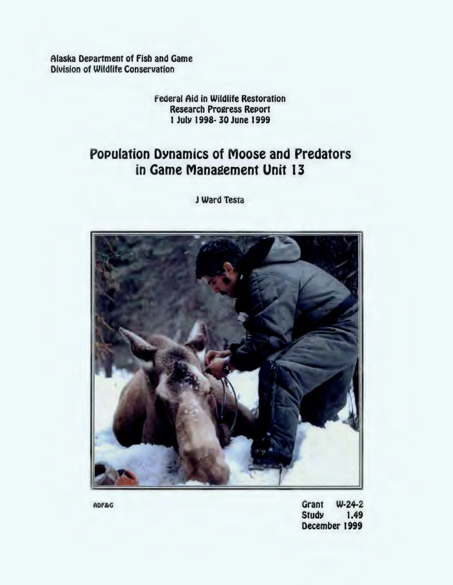Alaska Department of Fish and Game **Division of Wildlife Conservation** 

# **Federal Aid in Wildlife Restoration Research Progress Report** 1 July 1998-30 June 1999

# **Population Dynamics of Moose and Predators** in Game Management Unit 13

J Ward Testa



 $W-24-2$ Grant **Study** 1.49 December 1999

ADF&G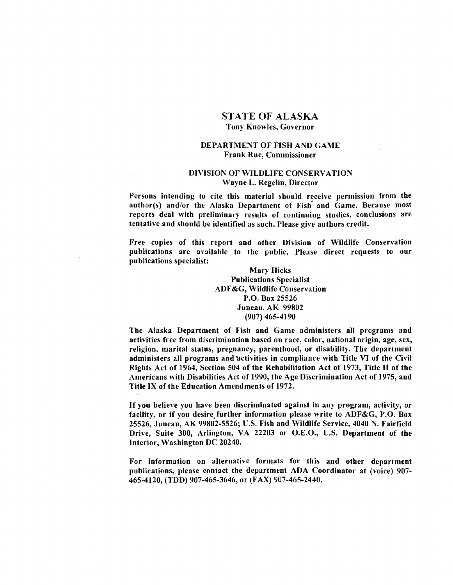# STATE OF ALASKA Tony Knowles, Governor

#### DEPARTMENT OF FISH AND GAME Frank Rue, Commissioner

#### DIVISION OF WILDLIFE CONSERVATION Wayne L. Regelin, Director

Persons intending to cite this material should receive permission from the author(s) and/or the Alaska Department of Fish and Game. Because most reports deal with preliminary results of continuing studies, conclusions are tentative and should be identified as such. Please give authors credit.

Free copies of this report and other Division of Wildlife Conservation publications are available to the public. Please direct requests to our publications specialist:

#### Mary Hicks Publications Specialist ADF&G, Wildlife Conservation P.O. Box 25526 Juneau, AK 99802 (907) 465-4190

The Alaska Department of Fish and Game administers all programs and activities free from discrimination based on race, color, national origin, age, sex, religion, marital status, pregnancy, parenthood, or disability. The department administers all programs and activities in compliance with Title VI of the Civil Rights Act of 1964, Section 504 of the Rehabilitation Act of 1973, Title II of the Americans with Disabilities Act of 1990, the Age Discrimination Act of 1975, and Title IX of the Education Amendments of 1972.

If you believe you have been discriminated against in any program, activity, or facility, or if you desire further information please write to  $ADF&G, P.O. Box$ 25526, Juneau, AK 99802-5526; U.S. Fish and Wildlife Service, 4040 N. Fairfield Drive, Suite 300, Arlington, VA 22203 or O.E.O., U.S. Department of the Interior, Washington DC 20240.

For information on alternative formats for this and other department publications, please contact the department ADA Coordinator at (voice) 907 465-4120, (TDD) 907-465-3646, or (FAX) 907-465-2440.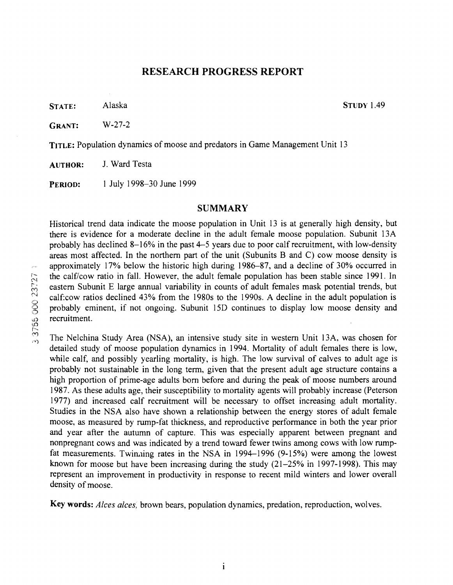# RESEARCH PROGRESS REPORT

STATE: Alaska STUDY 1.49

GRANT: W-27-2

TITLE: Population dynamics of moose and predators in Game Management Unit 13

AUTHOR: J. Ward Testa

PERIOD: I July 1998-30 June 1999

# SUMMARY

Historical trend data indicate the moose population in Unit 13 is at generally high density, but there is evidence for a moderate decline in the adult female moose population. Subunit 13A probably has declined 8-16% in the past 4-5 years due to poor calf recruitment, with low-density areas most affected. In the northern part of the unit (Subunits B and C) cow moose density is approximately 17% below the historic high during 1986-87, and a decline of 30% occurred in the calf/cow ratio in fall. However, the adult female population has been stable since 1991. In eastern Subunit E large annual variability in counts of adult females mask potential trends, but calf:cow ratios declined 43% from the 1980s to the 1990s. A decline in the adult population is probably eminent, if not ongoing. Subunit 15D continues to display low moose density and recruitment.

The Nelchina Study Area (NSA), an intensive study site in western Unit 13A, was chosen for detailed study of moose population dynamics in 1994. Mortality of adult females there is low, while calf, and possibly yearling mortality, is high. The low survival of calves to adult age is probably not sustainable in the long term, given that the present adult age structure contains a high proportion of prime-age adults born before and during the peak of moose numbers around 1987. As these adults age, their susceptibility to mortality agents will probably increase (Peterson 1977) and increased calf recruitment will be necessary to offset increasing adult mortality. Studies in the NSA also have shown a relationship between the energy stores of adult female moose, as measured by rump-fat thickness, and reproductive performance in both the year prior and year after the autumn of capture. This was especially apparent between pregnant and nonpregnant cows and was indicated by a trend toward fewer twins among cows with low rumpfat measurements. Twinning rates in the NSA in 1994-1996 (9-15%) were among the lowest known for moose but have been increasing during the study  $(21-25\%$  in 1997-1998). This may represent an improvement in productivity in response to recent mild winters and lower overall density of moose.

Key words: *Alces alces,* brown bears, population dynamics, predation, reproduction, wolves.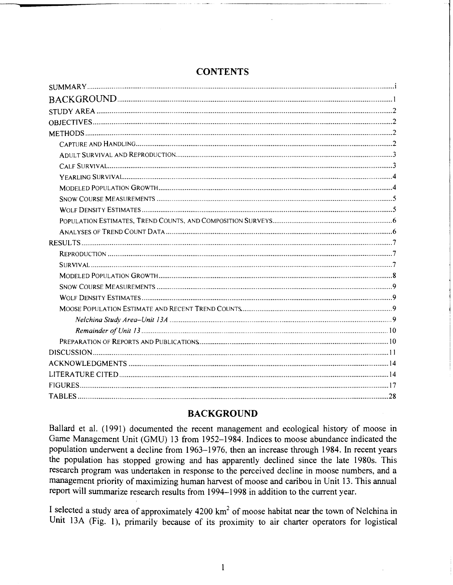|  |  |  | <b>CONTENTS</b> |
|--|--|--|-----------------|
|--|--|--|-----------------|

# **BACKGROUND**

Ballard et al. (1991) documented the recent management and ecological history of moose in Game Management Unit (GMU) 13 from 1952-1984. Indices to moose abundance indicated the population underwent a decline from 1963–1976, then an increase through 1984. In recent years the population has stopped growing and has apparently declined since the late 1980s. This research program was undertaken in response to the perceived decline in moose numbers, and a management priority of maximizing human harvest of moose and caribou in Unit 13. This annual report will summarize research results from 1994-1998 in addition to the current year.

I selected a study area of approximately 4200 km<sup>2</sup> of moose habitat near the town of Nelchina in Unit 13A (Fig. 1), primarily because of its proximity to air charter operators for logistical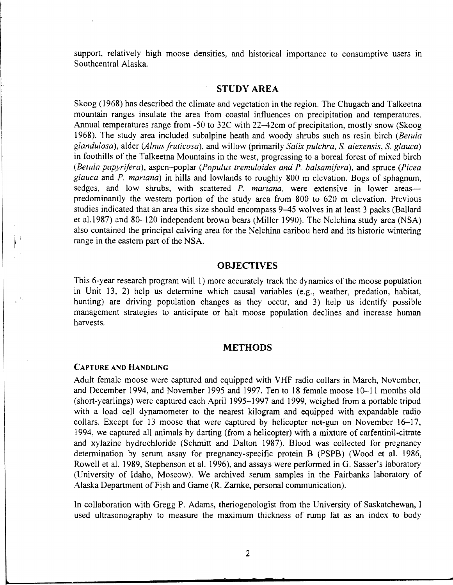support, relatively high moose densities, and historical importance to consumptive users in Southcentral Alaska.

# **STUDY AREA**

Skoog (1968) has described the climate and vegetation in the region. The Chugach and Talkeetna mountain ranges insulate the area from coastal influences on precipitation and temperatures. Annual temperatures range from -50 to 32C with 22-42cm of precipitation, mostly snow (Skoog 1968). The study area included subalpine heath and woody shrubs such as resin birch *(Betula glandulosa),* alder *(Alnus fruticosa),* and willow (primarily *Salix pulchra,* S. *alexensis,* S. *glauca)*  in foothills of the Talkeetna Mountains in the west, progressing to a boreal forest of mixed birch *(Betula papyrifera),* aspen-poplar *(Populus tremuloides and P. balsamifera),* and spruce *(Picea glauca* and *P. mariana)* in hills and lowlands to roughly 800 m elevation. Bogs of sphagnum, sedges, and low shrubs, with scattered *P. mariana*, were extensive in lower areaspredominantly the western portion of the study area from 800 to 620 m elevation. Previous studies indicated that an area this size should encompass 9-45 wolves in at least 3 packs (Ballard et al.1987) and 80-120 independent brown bears (Miller 1990). The Nelchina study area (NSA) also contained the principal calving area for the Nelchina caribou herd and its historic wintering range in the eastern part of the NSA.

## **OBJECTIVES**

This 6-year research program will 1) more accurately track the dynamics of the moose population in Unit 13, 2) help us determine which causal variables (e.g., weather, predation, habitat, hunting) are driving population changes as they occur, and 3) help us identify possible management strategies to anticipate or halt moose population declines and increase human harvests.

#### **METHODS**

#### CAPTURE AND HANDLING

 $\begin{array}{|c|c|} \hline \phantom{0} \\ \hline \phantom{0} \\ \hline \phantom{0} \end{array}$ 

Adult female moose were captured and equipped with VHF radio collars in March, November, and December 1994, and November 1995 and 1997. Ten to 18 female moose 10-11 months old (short-yearlings) were captured each April 1995-1997 and 1999, weighed from a portable tripod with a load cell dynamometer to the nearest kilogram and equipped with expandable radio collars. Except for 13 moose that were captured by helicopter net-gun on November 16-17, 1994, we captured all animals by darting (from a helicopter) with a mixture of carfentinil-citrate and xylazine hydrochloride (Schmitt and Dalton 1987). Blood was collected for pregnancy determination by serum assay for pregnancy-specific protein B (PSPB) (Wood et al. 1986, Rowell et al. 1989, Stephenson et al. 1996), and assays were performed in G. Sasser's laboratory (University of Idaho, Moscow). We archived serum samples in the Fairbanks laboratory of Alaska Department of Fish and Game (R. Zarnke, personal communication).

In collaboration with Gregg P. Adams, theriogenologist from the University of Saskatchewan, I used ultrasonography to measure the maximum thickness of rump fat as an index to body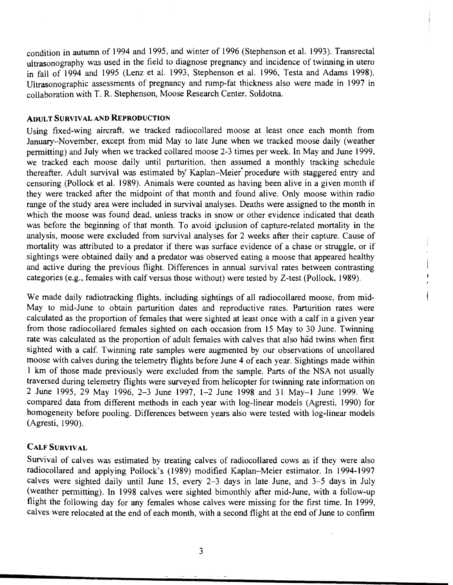condition in autumn of 1994 and 1995, and winter of 1996 (Stephenson et al. 1993 ). Transrectal ultrasonography was used in the field to diagnose pregnancy and incidence of twinning in utero in fall of 1994 and 1995 (Lenz et al. 1993, Stephenson et al. 1996, Testa and Adams 1998). Ultrasonographic assessments of pregnancy and rump-fat thickness also were made in 1997 in collaboration with T. R. Stephenson, Moose Research Center, Soldotna.

#### **ADULT SURVIVAL AND REPRODUCTION**

Using fixed-wing aircraft, we tracked radiocollared moose at least once each month from January-November, except from mid May to late June when we tracked moose daily (weather permitting) and July when we tracked collared moose 2-3 times per week. In May and June 1999. we tracked each moose daily until parturition, then assumed a monthly tracking schedule thereafter. Adult survival was estimated by Kaplan-Meier· procedure with staggered entry and censoring (Pollock et al. 1989). Animals were counted as having been alive in a given month if they were tracked after the midpoint of that month and found alive. Only moose within radio range of the study area were included in survival analyses. Deaths were assigned to the month in which the moose was found dead, unless tracks in snow or other evidence indicated that death was before the beginning of that month. To avoid ipclusion of capture-related mortality in the analysis, moose were excluded from survival analyses for 2 weeks after their capture. Cause of mortality was attributed to a predator if there was surface evidence of a chase or struggle, or if sightings were obtained daily and a predator was observed eating a moose that appeared healthy and active during the previous flight. Differences in annual survival rates between contrasting categories (e.g., females with calf versus those without) were tested by Z-test (Pollock, 1989).

We made daily radiotracking flights, including sightings of all radiocollared moose, from mid-May to mid-June to obtain parturition dates and reproductive rates. Parturition rates were calculated as the proportion of females that were sighted at least once with a calf in a given year from those radiocollared females sighted on each occasion from 15 May to 30 June. Twinning rate was calculated as the proportion of adult females with calves that also had twins when first sighted with a calf. Twinning rate samples were augmented by our observations of uncollared moose with calves during the telemetry flights before June 4 of each year. Sightings made within 1 km of those made previously were excluded from the sample. Parts of the NSA not usually traversed during telemetry flights were surveyed from helicopter for twinning rate information on 2 June 1995, 29 May 1996, 2-3 June 1997, 1-2 June 1998 and 31 May-1 June 1999. We compared data from different methods in each year with log-linear models (Agresti, 1990) for homogeneity before pooling. Differences between years also were tested with log-linear models (Agresti, 1990).

#### **CALF SURVIVAL**

Survival of calves was estimated by treating calves of radiocollared cows as if they were also radiocollared and applying Pollock's (1989) modified Kaplan-Meier estimator. In 1994-1997 calves were sighted daily until June 15, every 2-3 days in late June, and 3-5 days in July (weather permitting). In 1998 calves were sighted bimonthly after mid-June, with a follow-up flight the following day for any females whose calves were missing for the first time. In 1999, calves were relocated at the end of each month, with a second flight at the end of June to confirm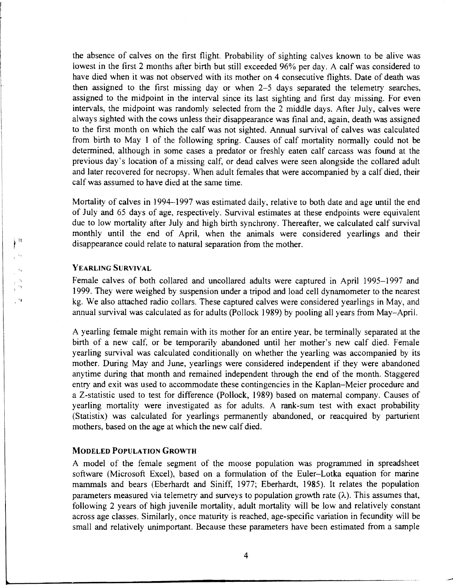the absence of calves on the first flight. Probability of sighting calves known to be alive was lowest in the first 2 months after birth but still exceeded 96% per day. A calf was considered to have died when it was not observed with its mother on 4 consecutive flights. Date of death was then assigned to the first missing day or when 2-5 days separated the telemetry searches, assigned to the midpoint in the interval since its last sighting and first day missing. For even intervals, the midpoint was randomly selected from the 2 middle days. After July, calves were always sighted with the cows unless their disappearance was final and, again, death was assigned to the first month on which the calf was not sighted. Annual survival of calves was calculated from birth to May 1 of the following spring. Causes of calf mortality normally could not be determined, although in some cases a predator or freshly eaten calf carcass was found at the previous day's location of a missing calf, or dead calves were seen alongside the collared adult and later recovered for necropsy. When adult females that were accompanied by a calf died, their calf was assumed to have died at the same time.

Mortality of calves in 1994-1997 was estimated daily, relative to both date and age until the end of July and 65 days of age, respectively. Survival estimates at these endpoints were equivalent due to low mortality after July and high birth synchrony. Thereafter, we calculated calf survival monthly until the end of April, when the animals were considered yearlings and their disappearance could relate to natural separation from the mother.

#### YEARLING SURVIVAL

 $\Big\}^{-\frac{1}{2}}$ 

 $\rightarrow$ 

Female calves of both collared and uncollared adults were captured in April 1995–1997 and 1999. They were weighed by suspension under a tripod and load cell dynamometer to the nearest kg. We also attached radio collars. These captured calves were considered yearlings in May, and annual survival was calculated as for adults (Pollock 1989) by pooling all years from May-April.

A yearling female might remain with its mother for an entire year, be terminally separated at the birth of a new calf, or be temporarily abandoned until her mother's new calf died. Female yearling survival was calculated conditionally on whether the yearling was accompanied by its mother. During May and June, yearlings were considered independent if they were abandoned anytime during that month and remained independent through the end of the month. Staggered entry and exit was used to accommodate these contingencies in the Kaplan-Meier procedure and a Z·statistic used to test for difference (Pollock, 1989) based on maternal company. Causes of yearling mortality were investigated as for adults. A rank-sum test with exact probability (Statistix) was calculated for yearlings permanently abandoned, or reacquired by parturient mothers, based on the age at which the new calf died.

#### MODELED POPULATION GROWTH

A model of the female segment of the moose population was programmed in spreadsheet software (Microsoft Excel), based on a formulation of the Euler-Lotka equation for marine mammals and bears (Eberhardt and Siniff, 1977; Eberhardt, 1985). It relates the population parameters measured via telemetry and surveys to population growth rate  $(\lambda)$ . This assumes that, following 2 years of high juvenile mortality, adult mortality will be low and relatively constant across age classes. Similarly, once maturity is reached, age-specific variation in fecundity will be small and relatively unimportant. Because these parameters have been estimated from a sample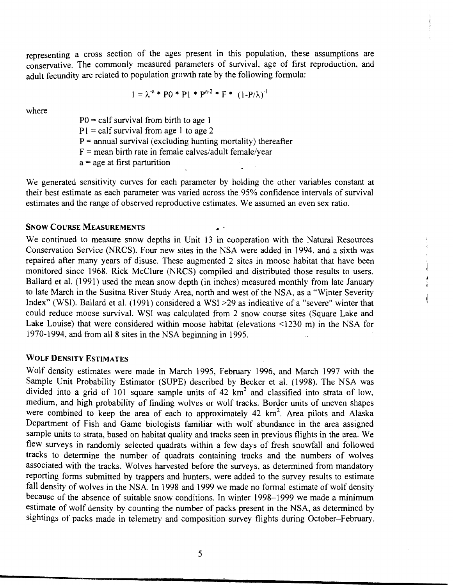representing a cross section of the ages present in this population, these asswnptions are conservative. The commonly measured parameters of survival, age of first reproduction, and adult fecundity are related to population growth rate by the following formula:

$$
1 = \lambda^{-a} * P0 * P1 * P^{a-2} * F * (1 - P/\lambda)^{-1}
$$

where

 $P0 = \text{calf}$  survival from birth to age 1  $P1 = calf$  survival from age 1 to age 2  $P =$  annual survival (excluding hunting mortality) thereafter  $F =$  mean birth rate in female calves/adult female/year  $a$  = age at first parturition

We generated sensitivity curves for each parameter by holding the other variables constant at their best estimate as each parameter was varied across the. 95% confidence intervals of survival estimates and the range of observed reproductive estimates. We assumed an even sex ratio.

#### SNOW COURSE MEASUREMENTS

We continued to measure snow depths in Unit 13 in cooperation with the Natural Resources Conservation Service (NRCS). Four new sites in the NSA were added in I994, and a sixth was repaired after many years of disuse. These augmented 2 sites in moose habitat that have been monitored since I968. Rick McClure (NRCS) compiled and distributed those results to users. Ballard et al. (1991) used the mean snow depth (in inches) measured monthly from late January to late March in the Susitna River Study Area, north and west of the NSA, as a "Winter Severity Index" (WSI). Ballard et al. (1991) considered a WSI >29 as indicative of a "severe" winter that could reduce moose survival. WSI was calculated from 2 snow course sites (Square Lake and Lake Louise) that were considered within moose habitat (elevations <1230 m) in the NSA for 1970-1994, and from all 8 sites in the NSA beginning in 1995.

# WOLF DENSITY ESTIMATES

Wolf density estimates were made in March 1995, February 1996, and March 1997 with the Sample Unit Probability Estimator (SUPE) described by Becker et al. (1998). The NSA was divided into a grid of 101 square sample units of 42  $km<sup>2</sup>$  and classified into strata of low, medium, and high probability of finding wolves or wolf tracks. Border units of uneven shapes were combined to keep the area of each to approximately  $42 \text{ km}^2$ . Area pilots and Alaska Department of Fish and Game biologists familiar with wolf abundance in the area assigned sample units to strata, based on habitat quality and tracks seen in previous flights in the area. We flew surveys in randomly selected quadrats within a few days of fresh snowfall and followed tracks to determine the number of quadrats containing tracks and the numbers of wolves associated with the tracks. Wolves harvested before the surveys, as determined from mandatory reporting forms submitted by trappers and hunters, were added to the survey results to estimate fall density of wolves in the NSA. In 1998 and 1999 we made no formal estimate of wolf density because of the absence of suitable snow conditions. In winter 1998-1999 we made a minimum estimate of wolf density by counting the number of packs present in the NSA, as determined by sightings of packs made in telemetry and composition survey flights during October-February.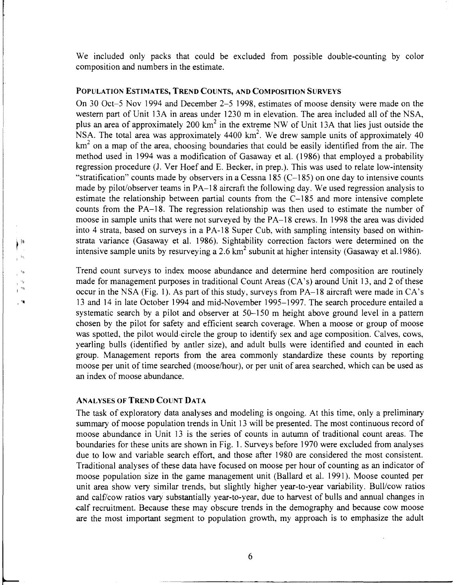We included only packs that could be excluded from possible double-counting by color composition and numbers in the estimate.

#### POPULATION ESTIMATES, TREND COUNTS, AND COMPOSITION SURVEYS

On 30 Oct-5 Nov 1994 and December 2-5 1998, estimates of moose density were made on the western part of Unit 13A in areas under 1230 m in elevation. The area included all of the NSA, plus an area of approximately 200  $km^2$  in the extreme NW of Unit 13A that lies just outside the NSA. The total area was approximately 4400  $km^2$ . We drew sample units of approximately 40  $km<sup>2</sup>$  on a map of the area, choosing boundaries that could be easily identified from the air. The method used in 1994 was a modification of Gasaway et al. (1986) that employed a probability regression procedure (J. Ver Hoef and E. Becker, in prep.). This was used to relate low-intensity "stratification" counts made by observers in a Cessna 185  $(C-185)$  on one day to intensive counts made by pilot/observer teams in PA-18 aircraft the following day. We used regression analysis to estimate the relationship between partial counts from the C-185 and more intensive complete counts from the PA-18. The regression relationship was then used to estimate the number of moose in sample units that were not surveyed by the PA-18 crews. In 1998 the area was divided into 4 strata, based on surveys in a PA-18 Super Cub, with sampling intensity based on withinstrata variance (Gasaway et al. 1986). Sightability correction factors were determined on the intensive sample units by resurveying a 2.6  $km^2$  subunit at higher intensity (Gasaway et al.1986).

Trend count surveys to index moose abundance and determine herd composition are routinely made for management purposes in traditional Count Areas (CA's) around Unit 13, and 2 of these occur in the NSA (Fig. 1). As part of this study, surveys from PA-18 aircraft were made inCA's 13 and 14 in late October 1994 and mid-November 1995-1997. The search procedure entailed a systematic search by a pilot and observer at 50–150 m height above ground level in a pattern chosen by the pilot for safety and efficient search coverage. When a moose or group of moose was spotted, the pilot would circle the group to identify sex and age composition. Calves, cows, yearling bulls (identified by antler size), and adult bulls were identified and counted in each group. Management reports from the area commonly standardize these counts by reporting moose per unit of time searched (moose/hour), or per unit of area searched, which can be used as an index of moose abundance.

# ANALYSES OF TREND COUNT DATA

 $\Big)^{[n]}$ 

 $\mathcal{C}^{\text{H}}$ 

The task of exploratory data analyses and modeling is ongoing. At this time, only a preliminary summary of moose population trends in Unit 13 will be presented. The most continuous record of moose abundance in Unit 13 is the series of counts in autumn of traditional count areas. The boundaries for these units are shown in Fig. 1. Surveys before 1970 were excluded from analyses due to low and variable search effort, and those after 1980 are considered the most consistent. Traditional analyses of these data have focused on moose per hour of counting as an indicator of moose population size in the game management unit (Ballard et al. 1991 ). Moose counted per unit area show very similar trends, but slightly higher year-to-year variability. Bull/cow ratios and calf/cow ratios vary substantially year-to-year, due to harvest of bulls and annual changes in -calf recruitment. Because these may obscure trends in the demography and because cow moose are the most important segment to population growth, my approach is to emphasize the adult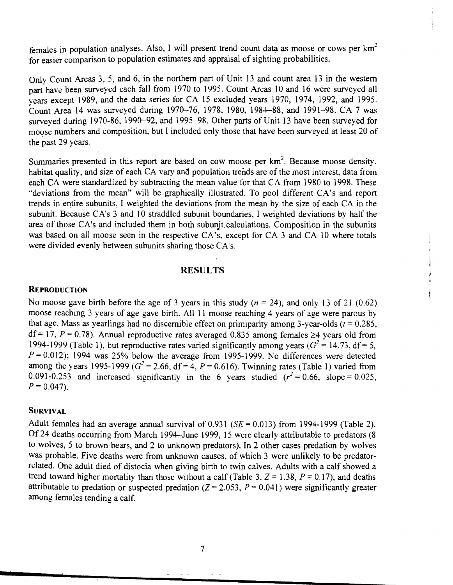females in population analyses. Also, I will present trend count data as moose or cows per  $km<sup>2</sup>$ for easier comparison to population estimates and appraisal of sighting probabilities.

Only Count Areas 3, 5, and 6, in the northern part of Unit 13 and count area 13 in the western part have been surveyed each fall from 1970 to 1995. Count Areas 10 and 16 were surveyed all years except 1989, and the data series for CA 15 excluded years 1970, 1974, 1992, and 1995. Count Area 14 was surveyed during 1970--76, 1978, 1980, 1984-88, and 1991-98. CA 7 was surveyed during 1970-86, 1990-92, and 1995-98. Other parts of Unit 13 have been surveyed for moose numbers and composition, but I included only those that have been surveyed at least 20 of the past 29 years.

Summaries presented in this report are based on cow moose per  $km^2$ . Because moose density, habitat quality, and size of each CA vary and population trends are of the most interest, data from each CA were standardized by subtracting the mean value for that CA from 1980 to 1998. These "deviations from the mean" will be graphically illustrated. To pool different CA's and report trends in entire subunits, I weighted the deviations from the mean by the size of each CA in the subunit. Because CA's 3 and 10 straddled subunit boundaries, I weighted deviations by half the area of those CA's and included them in both subunit calculations. Composition in the subunits was based on all moose seen in the respective CA's, except for CA 3 and CA 10 where totals were divided evenly between subunits sharing those CA's.

### **RESULTS**

#### **REPRODUCTION**

No moose gave birth before the age of 3 years in this study ( $n = 24$ ), and only 13 of 21 (0.62) moose reaching 3 years of age gave birth. All 11 moose reaching 4 years of age were parous by that age. Mass as yearlings had no discernible effect on primiparity among 3-year-olds  $(t = 0.285$ ,  $df = 17$ ,  $P = 0.78$ ). Annual reproductive rates averaged 0.835 among females  $\geq 4$  years old from 1994-1999 (Table 1), but reproductive rates varied significantly among years  $(G^2 = 14.73, df = 5,$  $P = 0.012$ ); 1994 was 25% below the average from 1995-1999. No differences were detected among the years 1995-1999 ( $G^2 = 2.66$ , df = 4, P = 0.616). Twinning rates (Table 1) varied from 0.091-0.253 and increased significantly in the 6 years studied  $(r^2 = 0.66,$  slope = 0.025,  $P = 0.047$ .

#### **SURVIVAL**

Adult females had an average annual survival of  $0.931$  (SE = 0.013) from 1994-1999 (Table 2). Of 24 deaths occurring from March 1994-June 1999, 15 were clearly attributable to predators (8 to wolves, 5 to brown bears, and 2 to unknown predators). In 2 other cases predation by wolves was probable. Five deaths were from unknown causes. of which 3 were unlikely to be predatorrelated. One adult died of distocia when giving birth to twin calves. Adults with a calf showed a trend toward higher mortality than those without a calf (Table 3,  $Z = 1.38$ ,  $P = 0.17$ ), and deaths attributable to predation or suspected predation  $(Z = 2.053, P = 0.041)$  were significantly greater among females tending a calf.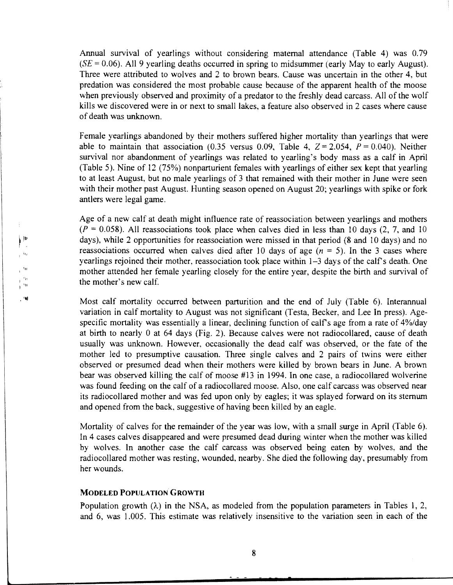Annual survival of yearlings without considering maternal attendance (Table 4) was 0.79 (SE = 0.06). All 9 yearling deaths occurred **in** spring to midsummer (early May to early August). Three were attributed to wolves and 2 to brown bears. Cause was uncertain in the other 4, but predation was considered the most probable cause because of the apparent health of the moose when previously observed and proximity of a predator to the freshly dead carcass. All of the wolf kills we discovered were in or next to small lakes, a feature also observed in 2 cases where cause of death was unknown.

Female yearlings abandoned by their mothers suffered higher mortality than yearlings that were able to maintain that association (0.35 versus 0.09, Table 4,  $Z = 2.054$ ,  $P = 0.040$ ). Neither survival nor abandonment of yearlings was related to yearling's body mass as a calf in April (Table 5). Nine of 12 (75%) nonparturient females with yearlings of either sex kept that yearling to at least August, but no male yearlings of 3 that remained with their mother in June were seen with their mother past August. Hunting season opened on August 20; yearlings with spike or fork antlers were legal game.

Age of a new calf at death might influence rate of reassociation between yearlings and mothers  $(P = 0.058)$ . All reassociations took place when calves died in less than 10 days (2, 7, and 10) days), while 2 opportunities for reassociation were missed in that period (8 and 10 days) and no reassociations occurred when calves died after 10 days of age  $(n = 5)$ . In the 3 cases where yearlings rejoined their mother, reassociation took place within 1-3 days of the calf's death. One mother attended her female yearling closely for the entire year, despite the birth and survival of the mother's new calf .

Most calf mortality occurred between parturition and the end of July (Table 6). Interannual variation in calf mortality to August was not significant (Testa, Becker, and Lee In press). Agespecific mortality was essentially a linear, declining function of calfs age from a rate of 4%/day at birth to nearly 0 at 64 days (Fig. 2). Because calves were not radiocollared, cause of death usually was unknown. However, occasionally the dead calf was observed, or the fate of the mother led to presumptive causation. Three single calves and 2 pairs of twins were either observed or presumed dead when their mothers were killed by brown bears in June. A brown bear was observed killing the calf of moose #13 in 1994. In one case, a radiocollared wolverine was found feeding on the calf of a radiocollared moose. Also, one calf carcass was observed near its radiocollared mother and was fed upon only by eagles; it was splayed forward on its sternum and opened from the back, suggestive of having been killed by an eagle.

Mortality of calves for the remainder of the year was low, with a small surge in April (Table 6). In 4 cases calves disappeared and were presumed dead during winter when the mother was killed by wolves. In another case the calf carcass was observed being eaten by wolves, and the radiocollared mother was resting, wounded, nearby. She died the following day, presumably from her wounds.

#### **MODELED POPULATION GROWTH**

Population growth  $(\lambda)$  in the NSA, as modeled from the population parameters in Tables 1, 2, and 6, was 1.005. This estimate was relatively insensitive to the variation seen in each of the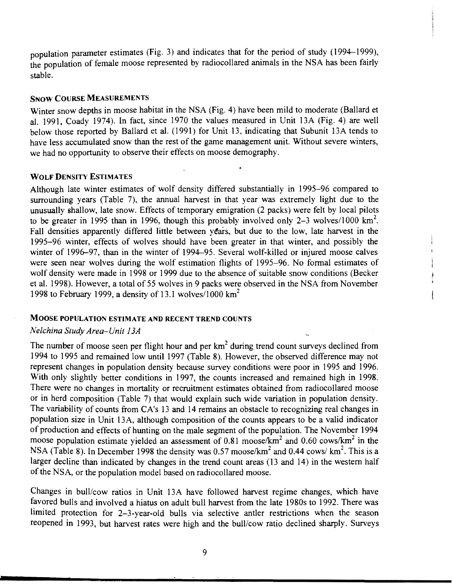population parameter estimates (Fig. 3) and indicates that for the period of study (1994-1999), the population of female moose represented by radiocollared animals in the NSA has been fairly stable.

## SNOW COURSE MEASUREMENTS

Winter snow depths in moose habitat in the NSA (Fig. 4) have been mild to moderate (Ballard et al. 1991, Coady 1974). In fact, since 1970 the values measured in Unit 13A (Fig. 4) are well below those reported by Ballard et al. (1991) for Unit 13, indicating that Subunit 13A tends to have less accumulated snow than the rest of the game management unit. Without severe winters, we had no opportunity to observe their effects on moose demography.

#### WOLF DENSITY ESTIMATES

Although late winter estimates of wolf density differed substantially in 1995-96 compared to surrounding years (Table 7), the annual harvest in that year was extremely light due to the unusually shallow, late snow. Effects of temporary emigration (2 packs) were felt by local pilots to be greater in 1995 than in 1996, though this probably involved only 2-3 wolves/1000 km<sup>2</sup>. Fall densities apparently differed little between years, but due to the low, late harvest in the 1995-96 winter, effects of wolves should have been greater in that winter, and possibly the winter of 1996–97, than in the winter of 1994–95. Several wolf-killed or injured moose calves were seen near wolves during the wolf estimation flights of 1995-96. No formal estimates of wolf density were made in 1998 or 1999 due to the absence of suitable snow conditions (Becker et al. 1998). However, a total of 55 wolves in 9 packs were observed in the NSA from November 1998 to February 1999, a density of 13.1 wolves/1000  $\text{km}^2$ 

#### MOOSE POPULATION ESTIMATE AND RECENT TREND COUNTS

#### *Nelchina Study Area-Unit 13A*

The number of moose seen per flight hour and per  $km<sup>2</sup>$  during trend count surveys declined from 1994 to 1995 and remained low until 1997 (Table 8). However, the observed difference may not represent changes in population density because survey conditions were poor in 1995 and 1996. With only slightly better conditions in 1997, the counts increased and remained high in 1998. There were no changes in mortality or recruitment estimates obtained from radiocollared moose or in herd composition (Table 7) that would explain such wide variation in population density. The variability of counts from CA's 13 and 14 remains an obstacle to recognizing real changes in population size in Unit 13A, although composition of the counts appears to be a valid indicator of production and effects of hunting on the male segment of the population. The November 1994 moose population estimate yielded an assessment of 0.81 moose/ $km^2$  and 0.60 cows/ $km^2$  in the NSA (Table 8). In December 1998 the density was 0.57 moose/ $km^2$  and 0.44 cows/ $km^2$ . This is a larger decline than indicated by changes in the trend count areas (13 and 14) in the western half of the NSA, or the population model based on radiocollared moose.

Changes in bull/cow ratios in Unit 13A have followed harvest regime changes, which have favored bulls and involved a hiatus on adult bull harvest from the late 1980s to 1992. There was limited protection for 2-3-year-old bulls via selective antler restrictions when the season reopened in 1993, but harvest rates were high and the bull/cow ratio declined sharply. Surveys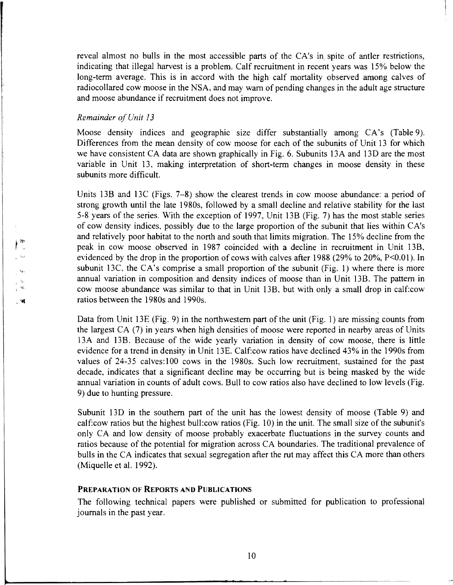reveal almost no bulls in the most accessible parts of the CA's in spite of antler restrictions, indicating that illegal harvest is a problem. Calf recruitment in recent years was 15% below the long-term average. This is in accord with the high calf mortality observed among calves of radiocollared cow moose in the NSA, and may warn of pending changes in the adult age structure and moose abundance if recruitment does not improve.

#### *Remainder ofUnit 13*

• •• i '1W

 $\mathsf{F}^{\text{lin}}$  $\mathbf{r}^{-1}\mathbf{r}_{\mathrm{st}}$ 

 $\mathbb{R}^{\mathbb{N}}$  $\mathcal{A}^{\mathcal{C}}$  Moose density indices and geographic size differ substantially among CA's (Table 9). Differences from the mean density of cow moose for each of the subunits of Unit 13 for which we have consistent CA data are shown graphically in Fig. 6. Subunits 13A and 13D are the most variable in Unit 13, making interpretation of short-term changes in moose density in these subunits more difficult.

Units 13B and 13C (Figs. 7-8) show the clearest trends in cow moose abundance: a period of strong growth until the late 1980s, followed by a small decline and relative stability for the last 5-8 years of the series. With the exception of 1997, Unit 13B (Fig. 7) has the most stable series of cow density indices, possibly due to the large proportion of the subunit that lies within CA's and relatively poor habitat to the north and south that limits migration. The 15% decline from the peak in cow moose observed in 1987 coincided with a decline in recruitment in Unit 13B, evidenced by the drop in the proportion of cows with calves after 1988 (29% to 20%,  $P<0.01$ ). In subunit 13C, the CA's comprise a small proportion of the subunit (Fig. 1) where there is more annual variation in composition and density indices of moose than in Unit 13B. The pattern in cow moose abundance was similar to that in Unit 13B, but with only a small drop in calf:cow ratios between the 1980s and 1990s.

Data from Unit 13E (Fig. 9) in the northwestern part of the unit (Fig. 1) are missing counts from the largest CA (7) in years when high densities of moose were reported in nearby areas of Units 13A and 13B. Because of the wide yearly variation in density of cow moose, there is little evidence for a trend in density in Unit 13E. Calf:cow ratios have declined 43% in the 1990s from values of 24-35 calves: 100 cows in the 1980s. Such low recruitment, sustained for the past decade, indicates that a significant decline may be occurring but is being masked by the wide annual variation in counts of adult cows. Bull to cow ratios also have declined to low levels (Fig. 9) due to hunting pressure.

Subunit 13D in the southern part of the unit has the lowest density of moose (Table 9) and calf:cow ratios but the highest bull:cow ratios (Fig. 10) in the unit. The small size of the subunit's only CA and low density of moose probably exacerbate fluctuations in the survey counts and ratios because of the potential for migration across CA boundaries. The traditional prevalence of bulls in the CA indicates that sexual segregation after the rut may affect this CA more than others (Miquelle et al. 1992).

#### PREPARATION OF REPORTS AND PUBLICATIONS

The following technical papers were published or submitted for publication to professional journals in the past year.

~----------------------------- --------~---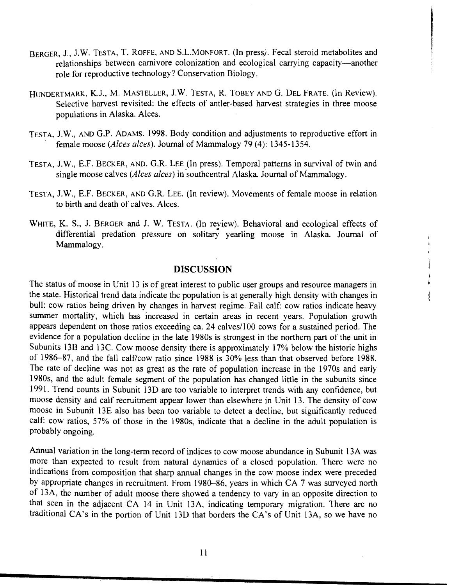BERGER, J., J.W. TESTA, T. ROFFE, AND S.L.MONFORT. (In press). Fecal steroid metabolites and relationships between carnivore colonization and ecological carrying capacity—another role for reproductive technology? Conservation Biology.

I

t

- HUNDERTMARK, K.J., M. MASTELLER, J.W. TESTA, R. TOBEY AND G. DEL FRATE. (In Review). Selective harvest revisited: the effects of antler-based harvest strategies in three moose populations in Alaska. Alces.
- TESTA, J.W., AND G.P. ADAMS. 1998. Body condition and adjustments to reproductive effort in female moose *(Alces alces)*. Journal of Mammalogy 79 (4): 1345-1354.
- TESTA, J.W., E.F. BECKER, AND. G.R. LEE (In press). Temporal patterns in survival of twin and single moose calves *(A lees alces)* in "southcentral Alaska. Journal of Mammalogy.
- TESTA, J.W., E.F. BECKER, AND G.R. LEE. (In review). Movements of female moose in relation to birth and death of calves. Alces.
- WHITE, K. S., J. BERGER and J. W. TESTA. (In review). Behavioral and ecological effects of differential predation pressure on solitary yearling moose in Alaska. Journal of Mammalogy.

# **DISCUSSION**

The status of moose in Unit 13 is of great interest to public user groups and resource managers in the state. Historical trend data indicate the population is at generally high density with changes in bull: cow ratios being driven by changes in harvest regime. Fall calf: cow ratios indicate heavy summer mortality, which has increased in certain areas in recent years. Population growth appears dependent on those ratios exceeding ca. 24 calves/100 cows for a sustained period. The evidence for a population decline in the late 1980s is strongest in the northern part of the unit in Subunits 13B and 13C. Cow moose density there is approximately 17% below the historic highs of 1986-87, and the fall calf/cow ratio since 1988 is 30% less than that observed before 1988. The rate of decline was not as great as the rate of population increase in the 1970s and early 1980s, and the adult female segment of the population has changed little in the subunits since 1991. Trend counts in Subunit 130 are too variable to interpret trends with any confidence, but moose density and calf recruitment appear lower than elsewhere in Unit 13. The density of cow moose in Subunit 13E also has been too variable to detect a decline, but significantly reduced calf: cow ratios, 57% of those in the 1980s, indicate that a decline in the adult population is probably ongoing.

Annual variation in the long-term record of indices to cow moose abundance in Subunit 13A was more than expected to result from natural dynamics of a closed population. There were no indications from composition that sharp annual changes in the cow moose index were preceded by appropriate changes in recruitment. From 1980-86, years in which CA 7 was surveyed north of 13A, the number of adult moose there showed a tendency to vary in an opposite direction to that seen in the adjacent CA 14 in Unit 13A, indicating temporary migration. There are no traditional CA's in the portion of Unit 13D that borders the CA's of Unit 13A, so we have no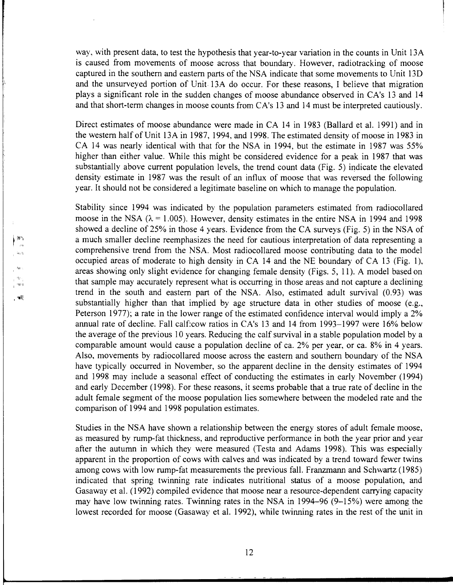way, with present data, to test the hypothesis that year-to-year variation in the counts in Unit 13A is caused from movements of moose across that boundary. However, radiotracking of moose captured in the southern and eastern parts of the NSA indicate that some movements to Unit 13D and the unsurveyed portion of Unit 13A do occur. For these reasons, I believe that migration plays a significant role in the sudden changes of moose abundance observed in CA's 13 and 14 and that short-term changes in moose counts from CA's 13 and 14 must be interpreted cautiously.

Direct estimates of moose abundance were made in CA 14 in 1983 (Ballard et al. 1991) and in the western half of Unit 13A in 1987, 1994, and 1998. The estimated density of moose in 1983 in CA 14 was nearly identical with that for the NSA in 1994, but the estimate in 1987 was 55% higher than either value. While this might be considered evidence for a peak in 1987 that was substantially above current population levels, the trend count data (Fig. 5) indicate the elevated density estimate in 1987 was the result of an influx of moose that was reversed the following year. It should not be considered a legitimate baseline on which to manage the population.

Stability since 1994 was indicated by the population parameters estimated from radiocollared moose in the NSA ( $\lambda$  = 1.005). However, density estimates in the entire NSA in 1994 and 1998 showed a decline of 25% in those 4 years. Evidence from the CA surveys (Fig. 5) in the NSA of a much smaller decline reemphasizes the need for cautious interpretation of data representing a comprehensive trend from the NSA. Most radiocollared moose contributing data to the model occupied areas of moderate to high density in CA 14 and the NE boundary of CA 13 (Fig. 1), areas showing only slight evidence for changing female density (Figs. 5, 11 ). A model based on that sample may accurately represent what is occurring in those areas and not capture a declining trend in the south and eastern part of the NSA. Also, estimated adult survival (0.93) was substantially higher than that implied by age structure data in other studies of moose (e.g., Peterson 1977); a rate in the lower range of the estimated confidence interval would imply a 2% annual rate of decline. Fall calf:cow ratios in CA's 13 and 14 from 1993-1997 were 16% below the average of the previous 10 years. Reducing the calf survival in a stable population model by a comparable amount would cause a population decline of ca. 2% per year, or ca. 8% in 4 years. Also, movements by radiocollared moose across the eastern and southern boundary of the NSA have typically occurred in November, so the apparent decline in the density estimates of 1994 and 1998 may include a seasonal effect of conducting the estimates in early November (1994) and early December (1998). For these reasons, it seems probable that a true rate of decline in the adult female segment of the moose population lies somewhere between the modeled rate and the comparison of 1 994 and 1 998 population estimates.

,,,

 $|0 \rangle$ 

, 'Wil!

Studies in the NSA have shown a relationship between the energy stores of adult female moose, as measured by rump-fat thickness, and reproductive performance in both the year prior and year after the autumn in which they were measured (Testa and Adams 1998). This was especially apparent in the proportion of cows with calves and was indicated by a trend toward fewer twins among cows with low rump-fat measurements the previous fall. Franzmann and Schwartz (1985) indicated that spring twinning rate indicates nutritional status of a moose population, and Gasaway et al. (1992) compiled evidence that moose near a resource-dependent carrying capacity may have low twinning rates. Twinning rates in the NSA in 1994-96 (9-15%) were among the lowest recorded for moose (Gasaway et al. 1992), while twinning rates in the rest of the unit in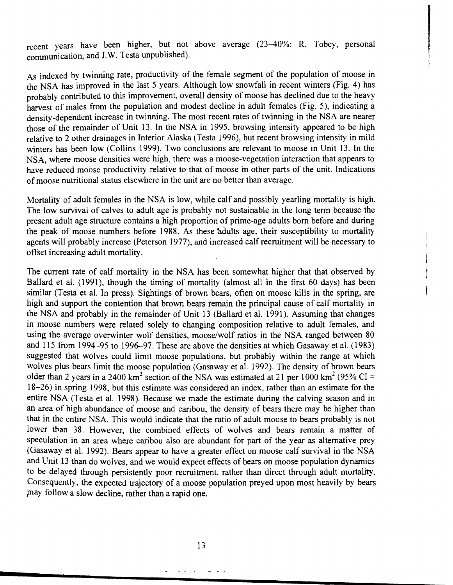recent years have been higher, but not above average (23-40%: R. Tobey, personal communication, and J.W. Testa unpublished).

As indexed by twinning rate, productivity of the female segment of the population of moose in the NSA has improved in the last 5 years. Although low snowfall in recent winters (Fig. 4) has probably contributed to this improvement, overall density of moose has declined due to the heavy harvest of males from the population and modest decline in adult females (Fig. 5), indicating a density-dependent increase in twinning. The most recent rates of twinning in the NSA are nearer those of the remainder of Unit 13. In the NSA in 1995, browsing intensity appeared to be high relative to 2 other drainages in Interior Alaska (Testa 1996), but recent browsing intensity in mild winters has been low (Collins 1999). Two conclusions are relevant to moose in Unit 13. In the NSA, where moose densities were high, there was a moose-vegetation interaction that appears to have reduced moose productivity relative to that of moose in other parts of the unit. Indications of moose nutritional status elsewhere in the unit are no better than average.

Mortality of adult females in the NSA is low, while calf and possibly yearling mortality is high. The low survival of calves to adult age is probably not sustainable in the long term because the present adult age structure contains a high proportion of prime-age adults born before and during the peak of moose numbers before 1988. As these adults age, their susceptibility to mortality agents will probably increase (Peterson 1977), and increased calf recruitment will be necessary to offset increasing adult mortality.

The current rate of calf mortality in the NSA has been somewhat higher that that observed by Ballard et al. (1991), though the timing of mortality (almost all in the first 60 days) has been similar (Testa et al. In press). Sightings of brown bears, often on moose kills in the spring, are high and support the contention that brown bears remain the principal cause of calf mortality in the NSA and probably in the remainder of Unit 13 (Ballard et al. 1991). Assuming that changes in moose numbers were related solely to changing composition relative to adult females, and using the average overwinter wolf densities, moose/wolf ratios in the NSA ranged between 80 and 115 from 1994-95 to 1996-97. These are above the densities at which Gasaway et al. ( 1983) suggested that wolves could limit moose populations, but probably within the range at which wolves plus bears limit the moose population (Gasaway et al. 1992). The density of brown bears older than 2 years in a 2400 km<sup>2</sup> section of the NSA was estimated at 21 per 1000 km<sup>2</sup> (95% CI = 18-26) in spring 1998, but this estimate was considered an index, rather than an estimate for the entire NSA (Testa et al. 1998). Because we made the estimate during the calving season and in an area of high abundance of moose and caribou, the density of bears there may be higher than that in the entire NSA. This would indicate that the ratio of adult moose to bears probably is not lower than 38. However, the combined effects of wolves and bears remain a matter of speculation in an area where caribou also are abundant for part of the year as alternative prey (Gasaway et al. 1992). Bears appear to have a greater effect on moose calf survival in the NSA and Unit 13 than do wolves, and we would expect effects of bears on moose population dynamics to be delayed through persistently poor recruitment, rather than direct through adult mortality. Consequently, the expected trajectory of a moose population preyed upon most heavily by bears may follow a slow decline, rather than a rapid one.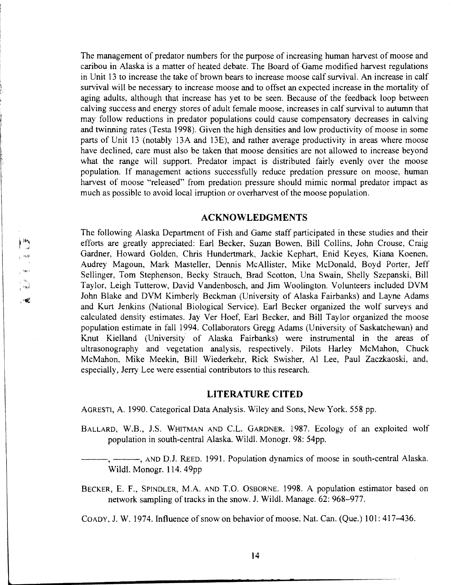The management of predator numbers for the purpose of increasing human harvest of moose and caribou in Alaska is a matter of heated debate. The Board of Game modified harvest regulations in Unit 13 to increase the take of brown bears to increase moose calf survival. An increase in calf survival will be necessary to increase moose and to offset an expected increase in the mortality of aging adults, although that increase has yet to be seen. Because of the feedback loop between calving success and energy stores of adult female moose, increases in calf survival to autumn that may follow reductions in predator populations could cause compensatory decreases in calving and twinning rates (Testa 1998). Given the high densities and low productivity of moose in some parts of Unit 13 (notably 13A and 13E), and rather average productivity in areas where moose have declined, care must also be taken that moose densities are not allowed to increase beyond what the range will support. Predator impact is distributed fairly evenly over the moose population. If management actions successfully reduce predation pressure on moose, human harvest of moose "released" from predation pressure should mimic normal predator impact as much as possible to avoid local irruption or overharvest of the moose population.

#### **ACKNOWLEDGMENTS**

The following Alaska Department of Fish and Game staff participated in these studies and their efforts are greatly appreciated: Earl Becker, Suzan Bowen, Bill Collins, John Crouse, Craig Gardner, Howard Golden, Chris Hundertmark, Jackie Kephart, Enid Keyes, Kiana Koenen, Audrey Magoun, Mark Masteller, Dennis McAllister, Mike McDonald, Boyd Porter, Jeff Sellinger, Tom Stephenson, Becky Strauch, Brad Scotton, Una Swain, Shelly Szepanski, Bill Taylor, Leigh Tutterow, David Vandenbosch, and Jim Woolington. Volunteers included DVM John Blake and DVM Kimberly Beckman (University of Alaska Fairbanks) and Layne Adams and Kurt Jenkins (National Biological Service). Earl Becker organized the wolf surveys and calculated density estimates. Jay Ver Hoef, Earl Becker, and Bill Taylor organized the moose population estimate in fall 1994. Collaborators Gregg Adams (University of Saskatchewan) and Knut Kielland (University' of Alaska Fairbanks) were instrumental in the areas of ultrasonography and vegetation analysis, respectively. Pilots Harley McMahon, Chuck McMahon, Mike Meekin, Bill Wiederkehr, Rick Swisher, AI Lee, Paul Zaczkaoski, and, especially, Jerry Lee were essential contributors to this research.

#### **LITERATURE CITED**

AGRESTI, A. 1990. Categorical Data Analysis. Wiley and Sons, New York. 558 pp.

I ifj11l

一喊

 $\vert \mathbf{b}\rangle$ 

 $\rightarrow$  and

BALLARD, W.B., J.S. WHITMAN AND C.L. GARDNER. 1987. Ecology of an exploited wolf population in south-central Alaska. Wildl. Monogr. 98: 54pp.

, -----, AND D.J. REED. 1991. Population dynamics of moose in south-central Alaska. Wildl. Monogr. 114. 49pp

BECKER, E. F., SPINDLER, M.A. AND T.O. OSBORNE. 1998. A population estimator based on network sampling of tracks in the snow. J. Wildl. Manage. 62: 968-977.

COADY, J. W. 1974. Influence of snow on behavior of moose. Nat. Can. (Que.) 101: 417–436.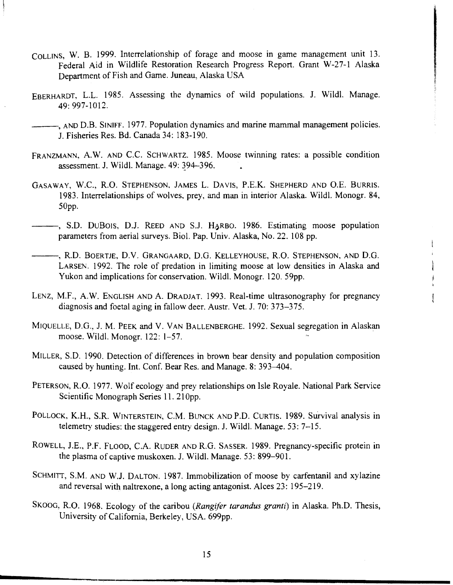- COLLINS, W. B. 1999. Interrelationship of forage and moose in game management unit 13. Federal Aid in Wildlife Restoration Research Progress Report. Grant W-27-1 Alaska Department of Fish and Game. Juneau, Alaska USA
- EBERHARDT, L.L. 1985. Assessing the dynamics of wild populations. J. Wildl. Manage. 49: 997-1012.
- AND D.B. SINIFF. 1977. Population dynamics and marine mammal management policies. J. Fisheries Res. Bd. Canada 34: 183-190.
- FRANZMANN, A.W. AND C.C. ScHWARTZ. 1985. Moose twinning rates: a possible condition assessment. J. Wildl. Manage. 49: 394-396.
- GASAWAY, W.C., R.O. STEPHENSON, JAMES L. DAVIS, P.E.K. SHEPHERD AND O.E. BURRIS. 1983. Interrelationships of wolves, prey, and man in interior Alaska. Wildl. Monogr. 84, 50pp.
- -, S.D. DUBOIS, D.J. REED AND S.J. HARBO. 1986. Estimating moose population parameters from aerial surveys. Biol. Pap. Univ. Alaska, No. 22. 108 pp.
- ---, R.D. BOERTJE, D.V. GRANGAARD, D.O. KELLEYHOUSE, R.O. STEPHENSON, AND D.O. LARSEN. 1992. The role of predation in limiting moose at low densities in Alaska and Yukon and implications for conservation. Wildl. Monogr. 120. 59pp.
- LENZ, M.F., A.W. ENGLISH AND A. DRADJAT. 1993. Real-time ultrasonography for pregnancy diagnosis and foetal aging in fallow deer. Austr. Vet. J. 70: 373-375.
- MIQUELLE, D.O., J. M. PEEK and V. VAN BALLENBERGHE. 1992. Sexual segregation in Alaskan moose. Wildl. Monogr. 122: 1-57.
- MILLER, S.D. 1990. Detection of differences in brown bear density and population composition caused by hunting. Int. Conf. Bear Res. and Manage. 8: 393-404.
- PETERSON, R.O. 1977. Wolf ecology and prey relationships on Isle Royale. National Park Service Scientific Monograph Series 11. 21 Opp.
- POLLOCK, K.H., S.R. WINTERSTEIN, C.M. BUNCK AND P.O. CURTIS. 1989. SUrvival analysis in telemetry studies: the staggered entry design. J. Wildl. Manage. 53: 7-15.
- ROWELL, J.E., P.F. FLOOD, C.A. RUDER AND R.G. SASSER. 1989. Pregnancy-specific protein in the plasma of captive muskoxen. J. Wildl. Manage. 53: 899-901.
- SCHMITT, S.M. AND W.J. DALTON. 1987. Immobilization of moose by carfentanil and xylazine and reversal with naltrexone, a long acting antagonist. Alces 23: 195-219.
- SKOOG, R.O. 1968. Ecology of the caribou (Rangifer *tarandus granti*) in Alaska. Ph.D. Thesis, University of California, Berkeley, USA. 699pp.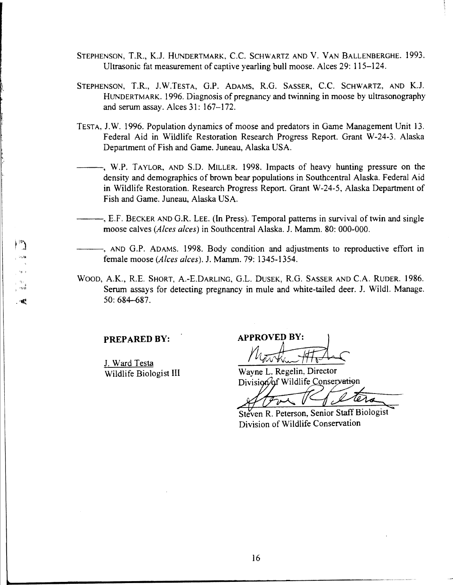- STEPHENSON, T.R., K.J. HUNDERTMARK, C.C. SCHWARTZ AND V. VAN BALLENBERGHE. 1993. Ultrasonic fat measurement of captive yearling bull moose. Alces 29: 115-124.
- STEPHENSON, T.R., J.W.TESTA, G.P. ADAMS, R.G. SASSER, C.C. SCHWARTZ, AND K.J. HUNDERTMARK. 1996. Diagnosis of pregnancy and twinning in moose by ultrasonography and serum assay. Alces 31: 167-172.
- TESTA, J.W. 1996. Population dynamics of moose and predators in Game Management Unit 13. Federal Aid in Wildlife Restoration Research Progress Report. Grant W-24-3. Alaska Department of Fish and Game. Juneau, Alaska USA.
	- -, W.P. TAYLOR, AND S.D. MILLER. 1998. Impacts of heavy hunting pressure on the density and demographics of brown bear populations in Southcentral Alaska. Federal Aid in Wildlife Restoration. Research Progress Report. Grant W-24-5, Alaska Department of Fish and Game. Juneau, Alaska USA.
		- -, E.F. BECKER AND G.R. LEE. (In Press). Temporal patterns in survival of twin and single moose calves *(Alces alces)* in Southcentral Alaska. J. Mamm. 80: 000-000.
- -, AND G.P. ADAMS. 1998. Body condition and adjustments to reproductive effort in female moose *(Alces alces).* J. Mamm. 79: 1345-1354.
- WOOD, A.K., R.E. SHORT, A.-E.DARLING, G.L. DUSEK, R.G. SASSER AND C.A. RUDER. 1986. Serum assays for detecting pregnancy in mule and white-tailed deer. J. Wildl. Manage.  $\cdot$   $\cdot$  50: 684-687.

J. Ward Testa Wildlife Biologist III

**PREPARED BY:** APPROVED BY:

Wayne L. Regelin, Director Division of Wildlife Conservation

Steven R. Peterson, Senior Staff Biologist Division of Wildlife Conservation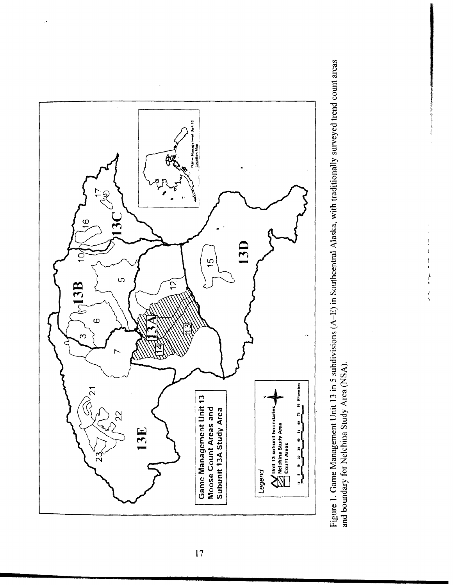

Figure 1. Game Management Unit 13 in 5 subdivisions (A-E) in Southcentral Alaska, with traditionally surveyed trend count areas and boundary for Nelchina Study Area (NSA).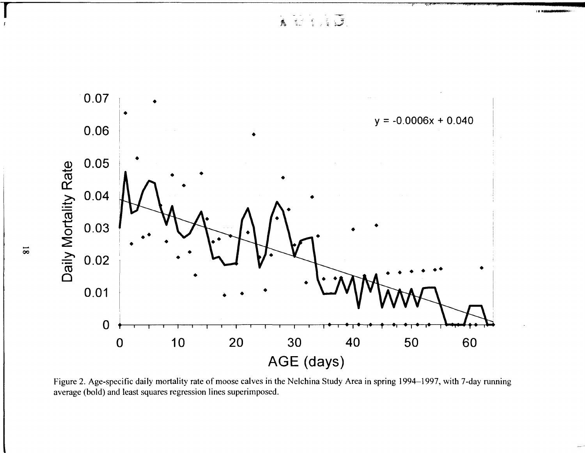A BERRICH



Figure 2. Age-specific daily mortality rate of moose calves in the Nelchina Study Area in spring 1994–1997, with 7-day running average (bold) and least squares regression lines superimposed.

 $\overline{81}$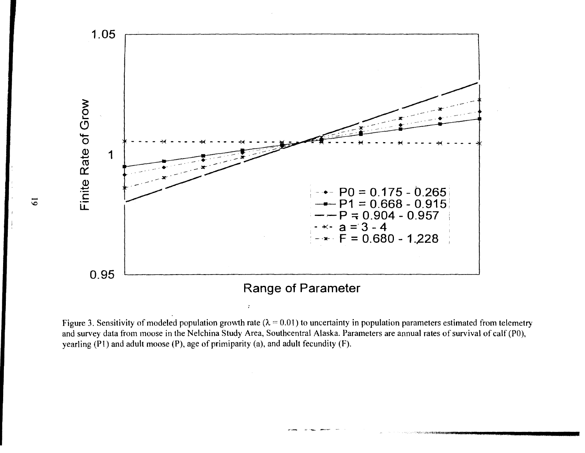

Figure 3. Sensitivity of modeled population growth rate ( $\lambda = 0.01$ ) to uncertainty in population parameters estimated from telemetry and survey data from moose in the Nelchina Study Area, Southcentral Alaska. Parameters are annual rates of survival of calf (PO), yearling (Pl) and adult moose (P), age of primiparity (a), and adult fecundity (F).

 $\overline{6}$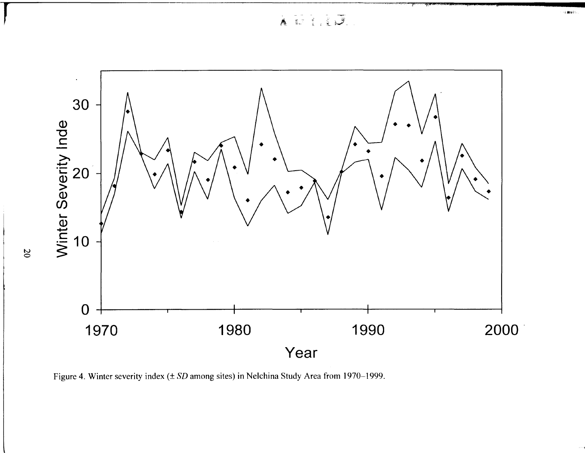AUIIU.



Figure 4. Winter severity index  $(\pm SD)$  among sites) in Nelchina Study Area from 1970–1999.

 $\infty$ 

。<br>・ト 動家の?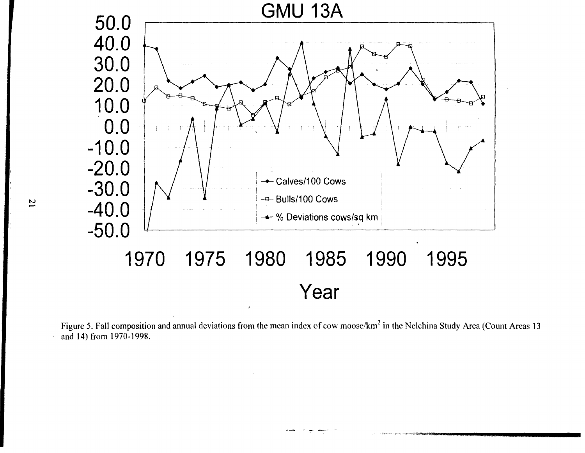

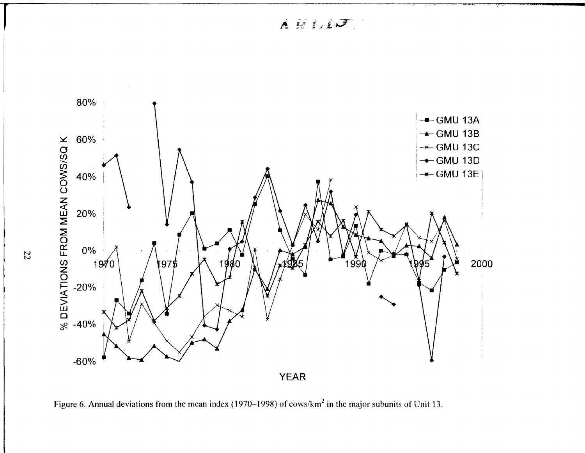

Figure 6. Annual deviations from the mean index (1970–1998) of cows/km<sup>2</sup> in the major subunits of Unit 13.

N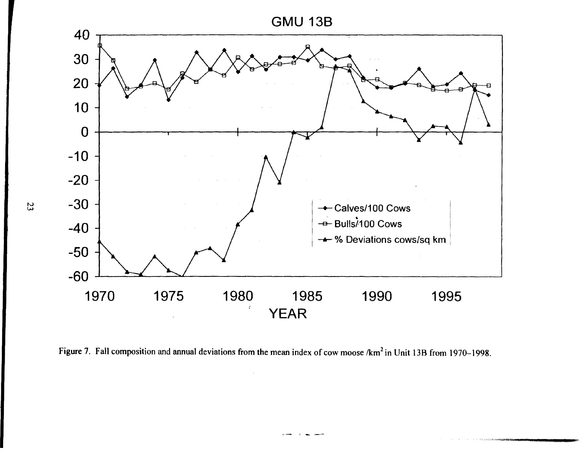



Figure 7. Fall composition and annual deviations from the mean index of cow moose /km<sup>2</sup> in Unit 13B from 1970-1998.

N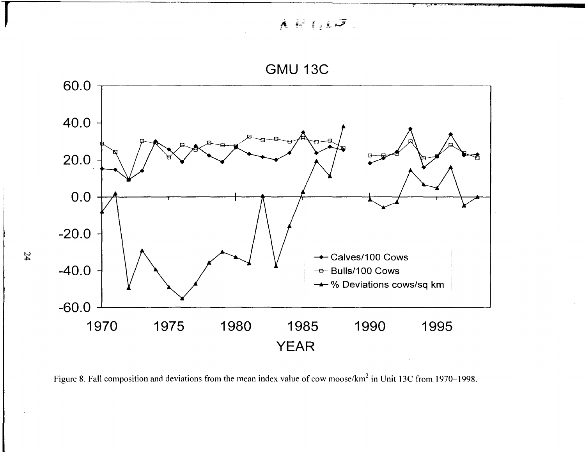$A \times I$   $\downarrow$   $J$ 



Figure 8. Fall composition and deviations from the mean index value of cow moose/km<sup>2</sup> in Unit 13C from 1970–1998.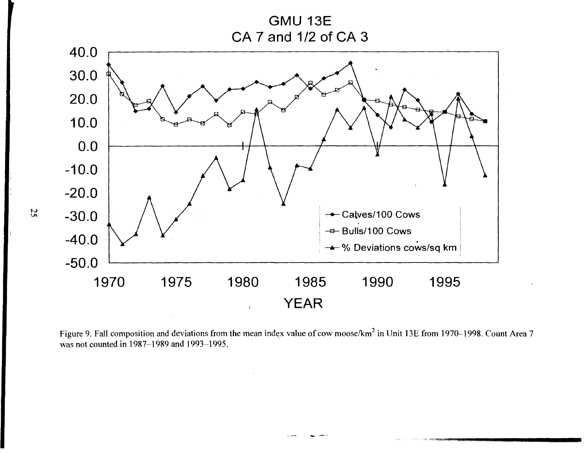**GMU 13E** CA 7 and 1/2 of CA 3



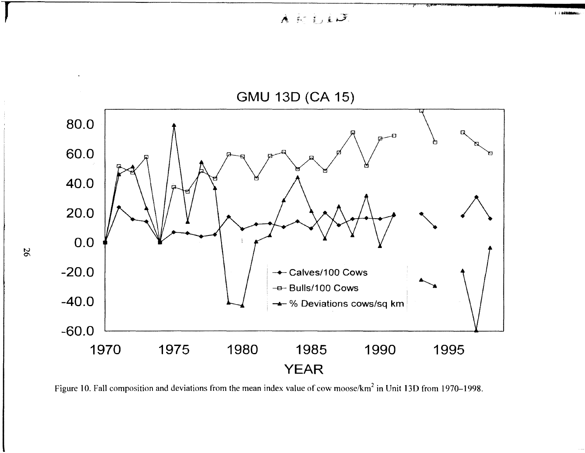A 时行10

 $1 + 846$ 



Figure 10. Fall composition and deviations from the mean index value of cow moose/km<sup>2</sup> in Unit 13D from 1970–1998.

**r**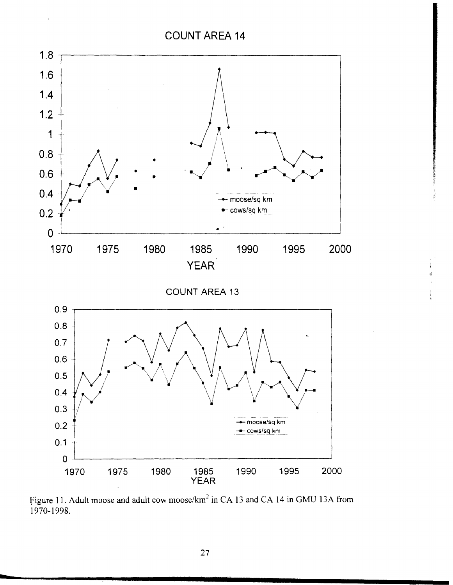

Figure 11. Adult moose and adult cow moose/km<sup>2</sup> in CA 13 and CA 14 in GMU 13A from 1970-1998.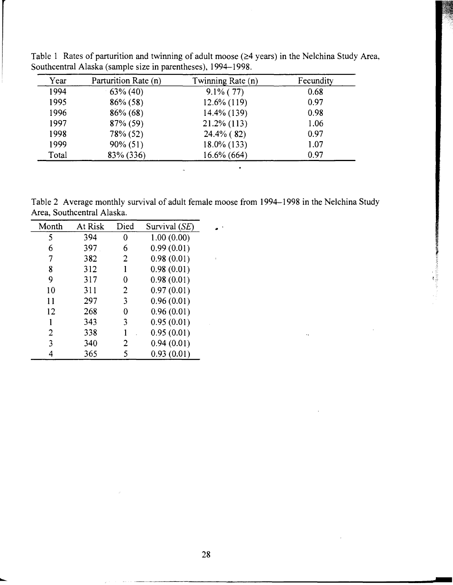| Year  | Parturition Rate (n) | Twinning Rate (n) | Fecundity |
|-------|----------------------|-------------------|-----------|
| 1994  | $63\% (40)$          | $9.1\%$ (77)      | 0.68      |
| 1995  | $86\%$ (58)          | $12.6\%$ (119)    | 0.97      |
| 1996  | $86\%$ (68)          | 14.4% (139)       | 0.98      |
| 1997  | $87\%$ (59)          | $21.2\%$ (113)    | 1.06      |
| 1998  | 78% (52)             | $24.4\%$ (82)     | 0.97      |
| 1999  | $90\% (51)$          | 18.0% (133)       | 1.07      |
| Total | 83% (336)            | 16.6% (664)       | 0.97      |

Table 1 Rates of parturition and twinning of adult moose  $(\geq 4 \text{ years})$  in the Nelchina Study Area, Southcentral Alaska (sample size in parentheses), 1994-1998.

Table 2 Average monthly survival of adult female moose from 1994-1998 in the Nelchina Study Area, Southcentral Alaska.

 $\mathcal{L}_{\bullet}$ 

| Month | At Risk | Died | Survival (SE) |
|-------|---------|------|---------------|
| 5     | 394     | 0    | 1.00(0.00)    |
| 6     | 397     | 6    | 0.99(0.01)    |
| 7     | 382     | 2    | 0.98(0.01)    |
| 8     | 312     | 1    | 0.98(0.01)    |
| 9     | 317     | 0    | 0.98(0.01)    |
| 10    | 311     | 2    | 0.97(0.01)    |
| 11    | 297     | 3    | 0.96(0.01)    |
| 12    | 268     | 0    | 0.96(0.01)    |
|       | 343     | 3    | 0.95(0.01)    |
| 2     | 338     |      | 0.95(0.01)    |
| 3     | 340     | 2    | 0.94(0.01)    |
| 4     | 365     | 5    | 0.93(0.01)    |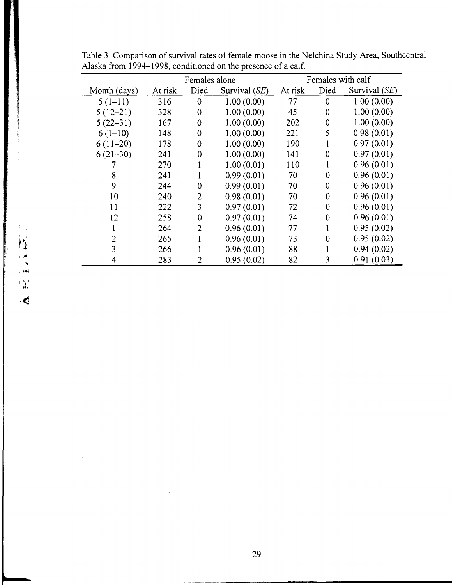|                  |              |         | Females alone    |                 |         | Females with calf |                 |
|------------------|--------------|---------|------------------|-----------------|---------|-------------------|-----------------|
|                  | Month (days) | At risk | Died             | Survival $(SE)$ | At risk | Died              | Survival $(SE)$ |
|                  | $5(1-11)$    | 316     | $\boldsymbol{0}$ | 1.00(0.00)      | 77      | $\bf{0}$          | 1.00(0.00)      |
|                  | $5(12-21)$   | 328     | $\boldsymbol{0}$ | 1.00(0.00)      | 45      | $\bf{0}$          | 1.00(0.00)      |
|                  | $5(22-31)$   | 167     | $\bf{0}$         | 1.00(0.00)      | 202     | $\bf{0}$          | 1.00(0.00)      |
|                  | $6(1-10)$    | 148     | $\boldsymbol{0}$ | 1.00(0.00)      | 221     | 5                 | 0.98(0.01)      |
|                  | $6(11-20)$   | 178     | $\boldsymbol{0}$ | 1.00(0.00)      | 190     |                   | 0.97(0.01)      |
|                  | $6(21-30)$   | 241     | $\bf{0}$         | 1.00(0.00)      | 141     | $\bf{0}$          | 0.97(0.01)      |
|                  |              | 270     |                  | 1.00(0.01)      | 110     |                   | 0.96(0.01)      |
|                  | 8            | 241     |                  | 0.99(0.01)      | 70      | $\bf{0}$          | 0.96(0.01)      |
|                  | 9            | 244     | $\bf{0}$         | 0.99(0.01)      | 70      | $\bf{0}$          | 0.96(0.01)      |
|                  | 10           | 240     | 2                | 0.98(0.01)      | 70      | $\bf{0}$          | 0.96(0.01)      |
|                  | 11           | 222     | 3                | 0.97(0.01)      | 72      | $\bf{0}$          | 0.96(0.01)      |
|                  | 12           | 258     | $\bf{0}$         | 0.97(0.01)      | 74      | $\boldsymbol{0}$  | 0.96(0.01)      |
|                  |              | 264     | 2                | 0.96(0.01)      | 77      |                   | 0.95(0.02)      |
| $\sum_{i=1}^{n}$ | 2            | 265     |                  | 0.96(0.01)      | 73      | $\bf{0}$          | 0.95(0.02)      |
|                  |              | 266     |                  | 0.96(0.01)      | 88      |                   | 0.94(0.02)      |
|                  | 4            | 283     |                  | 0.95(0.02)      | 82      | 3                 | 0.91(0.03)      |

Table 3 Comparison of survival rates of female moose in the Nelchina Study Area, Southcentral Alaska from 1994-1998, conditioned on the presence of a calf.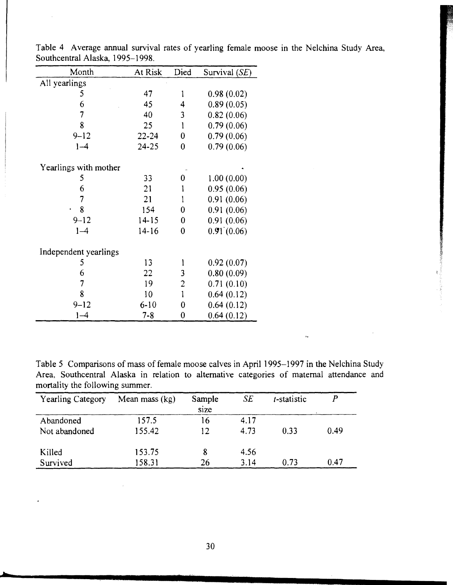| Month                 | At Risk   | Died             | Survival (SE) |
|-----------------------|-----------|------------------|---------------|
| All yearlings         |           |                  |               |
| 5                     | 47        | 1                | 0.98(0.02)    |
| 6                     | 45        | $\overline{4}$   | 0.89(0.05)    |
| $\overline{7}$        | 40        | 3                | 0.82(0.06)    |
| 8                     | 25        | $\mathbf{1}$     | 0.79(0.06)    |
| $9 - 12$              | 22-24     | $\boldsymbol{0}$ | 0.79(0.06)    |
| $1 - 4$               | 24-25     | 0                | 0.79(0.06)    |
| Yearlings with mother |           |                  |               |
| 5                     | 33        | 0                | 1.00(0.00)    |
| 6                     | 21        | 1                | 0.95(0.06)    |
| $\overline{7}$        | 21        | 1                | 0.91(0.06)    |
| 8                     | 154       | $\boldsymbol{0}$ | 0.91(0.06)    |
| $9 - 12$              | $14 - 15$ | $\boldsymbol{0}$ | 0.91(0.06)    |
| $1 - 4$               | $14 - 16$ | $\bf{0}$         | 0.91(0.06)    |
| Independent yearlings |           |                  |               |
| 5                     | 13        | 1                | 0.92(0.07)    |
| 6                     | 22        | 3                | 0.80(0.09)    |
| $\overline{7}$        | 19        | $\overline{c}$   | 0.71(0.10)    |
| 8                     | 10        | $\mathbf{1}$     | 0.64(0.12)    |
| $9 - 12$              | $6 - 10$  | $\overline{0}$   | 0.64(0.12)    |
| $1 - 4$               | $7 - 8$   | 0                | 0.64(0.12)    |

Table 4 Average annual survival rates of yearling female moose in the Nelchina Study Area, Southcentral Alaska, 1995-1998.

Table 5 Comparisons of mass of female moose calves in April 1995-1997 in the Nelchina Study Area, Southcentral Alaska in relation to alternative categories of maternal attendance and mortality the following summer.

 $\bar{r}_\pi$ 

| <b>Yearling Category</b> | Mean mass $(kg)$ | Sample<br>size | SE   | t-statistic |      |
|--------------------------|------------------|----------------|------|-------------|------|
| Abandoned                | 157.5            | 16             | 4.17 |             |      |
| Not abandoned            | 155.42           | 12.            | 4.73 | 0.33        | 0.49 |
| Killed                   | 153.75           |                | 4.56 |             |      |
| Survived                 | 158.31           | 26             | 3.14 | 0.73        | 0.47 |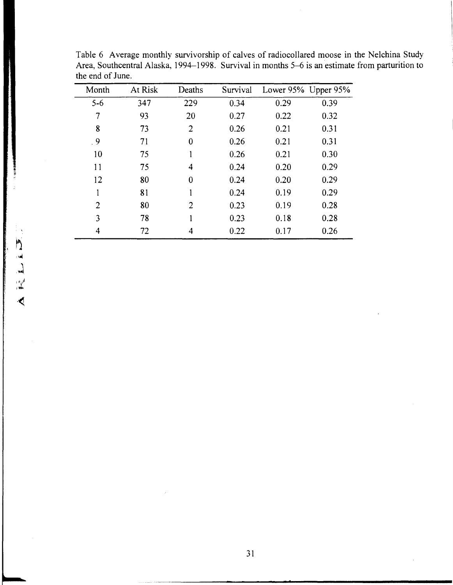| Month           | At Risk | Deaths         | Survival | Lower 95% Upper 95% |      |
|-----------------|---------|----------------|----------|---------------------|------|
| $5-6$           | 347     | 229            | 0.34     | 0.29                | 0.39 |
| 7               | 93      | 20             | 0.27     | 0.22                | 0.32 |
| 8               | 73      | $\overline{2}$ | 0.26     | 0.21                | 0.31 |
| $\overline{.9}$ | 71      | 0              | 0.26     | 0.21                | 0.31 |
| 10              | 75      |                | 0.26     | 0.21                | 0.30 |
| 11              | 75      | 4              | 0.24     | 0.20                | 0.29 |
| 12              | 80      | 0              | 0.24     | 0.20                | 0.29 |
|                 | 81      |                | 0.24     | 0.19                | 0.29 |
| $\overline{2}$  | 80      | $\overline{2}$ | 0.23     | 0.19                | 0.28 |
| 3               | 78      |                | 0.23     | 0.18                | 0.28 |
| 4               | 72      | 4              | 0.22     | 0.17                | 0.26 |

Table 6 Average monthly survivorship of calves of radiocollared moose in the Nelchina Study Area, Southcentral Alaska, 1994-1998. Survival in months 5-6 is an estimate from parturition to the end of June.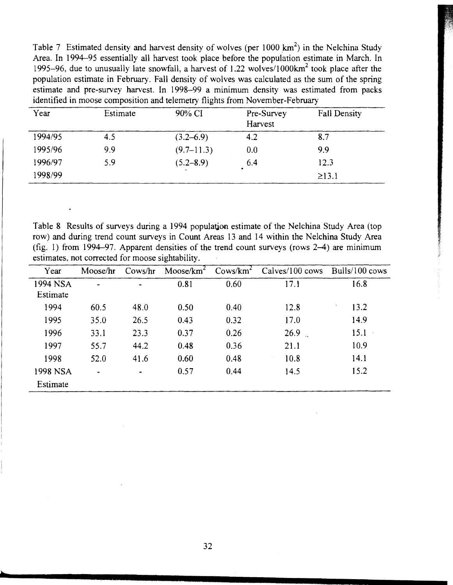Table 7 Estimated density and harvest density of wolves (per  $1000 \text{ km}^2$ ) in the Nelchina Study Area. In 1994-95 essentially all harvest took place before the population estimate in March. In 1995-96, due to unusually late snowfall, a harvest of 1.22 wolves/1000 $km^2$  took place after the population estimate in February. Fall density of wolves was calculated as the sum of the spring estimate and pre-survey harvest. In 1998-99 a minimum density was estimated from packs identified in moose composition and telemetry flights from November-February

| Year    | Estimate | 90% CI        | Pre-Survey<br>Harvest | <b>Fall Density</b> |
|---------|----------|---------------|-----------------------|---------------------|
| 1994/95 | 4.5      | $(3.2 - 6.9)$ | 4.2                   | 8.7                 |
| 1995/96 | 9,9      | $(9.7-11.3)$  | 0.0                   | 9.9                 |
| 1996/97 | 5.9      | $(5.2 - 8.9)$ | 6.4                   | 12.3                |
| 1998/99 |          |               |                       | $\geq$ 13.1         |

Table 8 Results of surveys during a 1994 population estimate of the Nelchina Study Area (top row) and during trend count surveys in Count Areas 13 and 14 within the Nelchina Study Area (fig. 1) from 1994-97. Apparent densities of the trend count surveys (rows 2-4) are minimum estimates, not corrected for moose sightability.

| Year     | Moose/hr       | Cows/hr        | Moose/ $km^2$ | Cows/km <sup>2</sup> | Calves/100 cows | Bulls/100 cows |
|----------|----------------|----------------|---------------|----------------------|-----------------|----------------|
| 1994 NSA | -              | $\blacksquare$ | 0.81          | 0.60                 | 17.1            | 16.8           |
| Estimate |                |                |               |                      |                 |                |
| 1994     | 60.5           | 48.0           | 0.50          | 0.40                 | 12.8            | 13.2           |
| 1995     | 35.0           | 26.5           | 0.43          | 0.32                 | 17.0            | 14.9           |
| 1996     | 33.1           | 23.3           | 0.37          | 0.26                 | 26.9            | $15.1 -$       |
| 1997     | 55.7           | 44.2           | 0.48          | 0.36                 | 21.1            | 10.9           |
| 1998     | 52.0           | 41.6           | 0.60          | 0.48                 | 10.8            | 14.1           |
| 1998 NSA | $\blacksquare$ | $\bullet$      | 0.57          | 0.44                 | 14.5            | 15.2           |
| Estimate |                |                |               |                      |                 |                |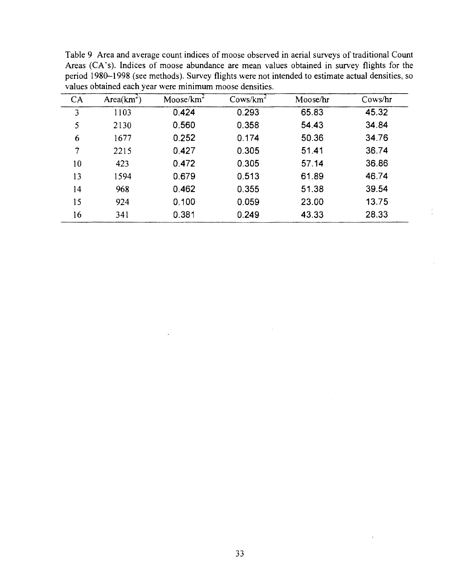|    |               | <u>Tarago obtenited emen fem were inhibitivalli hloode deligitied.</u> |                      |          |         |
|----|---------------|------------------------------------------------------------------------|----------------------|----------|---------|
| CA | Area $(km^2)$ | $M$ oose/ $km^2$                                                       | Cows/km <sup>2</sup> | Moose/hr | Cows/hr |
| 3  | 1103          | 0.424                                                                  | 0.293                | 65.83    | 45.32   |
| 5  | 2130          | 0.560                                                                  | 0.358                | 54.43    | 34.84   |
| 6  | 1677          | 0.252                                                                  | 0.174                | 50.36    | 34.76   |
| 7  | 2215          | 0.427                                                                  | 0.305                | 51.41    | 36.74   |
| 10 | 423           | 0.472                                                                  | 0.305                | 57.14    | 36.86   |
| 13 | 1594          | 0.679                                                                  | 0.513                | 61.89    | 46.74   |
| 14 | 968           | 0.462                                                                  | 0.355                | 51.38    | 39.54   |
| 15 | 924           | 0.100                                                                  | 0.059                | 23.00    | 13.75   |
| 16 | 341           | 0.381                                                                  | 0.249                | 43.33    | 28.33   |

Table 9 Area and average count indices of moose observed in aerial surveys of traditional Count Areas (CA's). Indices of moose abundance are mean values obtained in survey flights for the period 1980-1998 (see methods). Survey flights were not intended to estimate actual densities, so values obtained each year were minimum moose densities.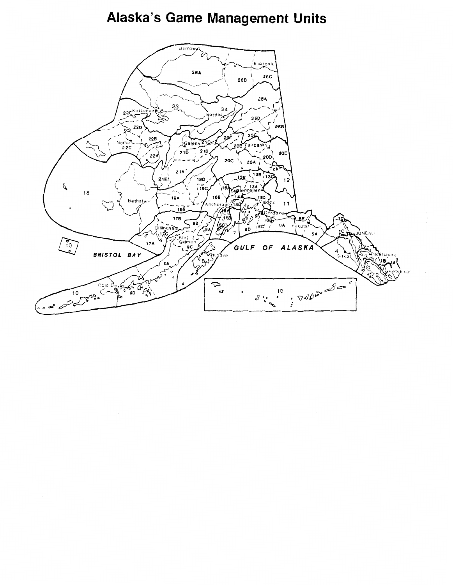# Alaska's Game Management Units